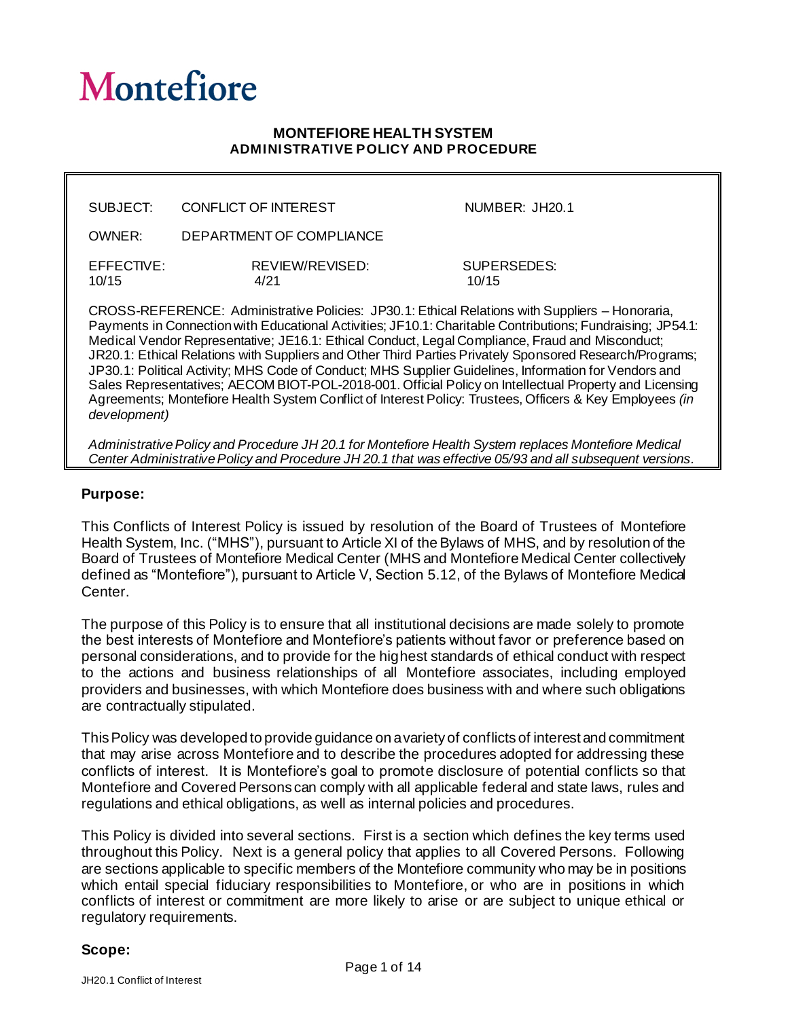# **Montefiore**

#### **MONTEFIORE HEALTH SYSTEM ADMINISTRATIVE POLICY AND PROCEDURE**

| SUBJECT:                                                                                                                                                                                                                                                                                                                                                                                                                                                                  | CONFLICT OF INTEREST     | NUMBER: JH20.1       |
|---------------------------------------------------------------------------------------------------------------------------------------------------------------------------------------------------------------------------------------------------------------------------------------------------------------------------------------------------------------------------------------------------------------------------------------------------------------------------|--------------------------|----------------------|
| OWNER:                                                                                                                                                                                                                                                                                                                                                                                                                                                                    | DEPARTMENT OF COMPLIANCE |                      |
| EFFECTIVE:<br>10/15                                                                                                                                                                                                                                                                                                                                                                                                                                                       | REVIEW/REVISED:<br>4/21  | SUPERSEDES:<br>10/15 |
| $\overline{a}$<br>$\mathbf{1} \mathbf{1} \mathbf{1} \mathbf{1} \mathbf{1} \mathbf{1} \mathbf{1} \mathbf{1} \mathbf{1} \mathbf{1} \mathbf{1} \mathbf{1} \mathbf{1} \mathbf{1} \mathbf{1} \mathbf{1} \mathbf{1} \mathbf{1} \mathbf{1} \mathbf{1} \mathbf{1} \mathbf{1} \mathbf{1} \mathbf{1} \mathbf{1} \mathbf{1} \mathbf{1} \mathbf{1} \mathbf{1} \mathbf{1} \mathbf{1} \mathbf{1} \mathbf{1} \mathbf{1} \mathbf{1} \mathbf{1} \mathbf{$<br>$\mathbf{u}$ and $\mathbf{v}$ |                          |                      |

CROSS-REFERENCE: Administrative Policies: JP30.1: Ethical Relations with Suppliers – Honoraria, Payments in Connection with Educational Activities; JF10.1: Charitable Contributions; Fundraising; JP54.1: Medical Vendor Representative; JE16.1: Ethical Conduct, Legal Compliance, Fraud and Misconduct; JR20.1: Ethical Relations with Suppliers and Other Third Parties Privately Sponsored Research/Programs; JP30.1: Political Activity; MHS Code of Conduct; MHS Supplier Guidelines, Information for Vendors and Sales Representatives; AECOM BIOT-POL-2018-001. Official Policy on Intellectual Property and Licensing Agreements; Montefiore Health System Conflict of Interest Policy: Trustees, Officers & Key Employees *(in development)*

*Administrative Policy and Procedure JH 20.1 for Montefiore Health System replaces Montefiore Medical Center Administrative Policy and Procedure JH 20.1 that was effective 05/93 and all subsequent versions.* 

#### **Purpose:**

This Conflicts of Interest Policy is issued by resolution of the Board of Trustees of Montefiore Health System, Inc. ("MHS"), pursuant to Article XI of the Bylaws of MHS, and by resolution of the Board of Trustees of Montefiore Medical Center (MHS and Montefiore Medical Center collectively defined as "Montefiore"), pursuant to Article V, Section 5.12, of the Bylaws of Montefiore Medical Center.

The purpose of this Policy is to ensure that all institutional decisions are made solely to promote the best interests of Montefiore and Montefiore's patients without favor or preference based on personal considerations, and to provide for the highest standards of ethical conduct with respect to the actions and business relationships of all Montefiore associates, including employed providers and businesses, with which Montefiore does business with and where such obligations are contractually stipulated.

This Policy was developed to provide guidance on a variety of conflicts of interest and commitment that may arise across Montefiore and to describe the procedures adopted for addressing these conflicts of interest. It is Montefiore's goal to promote disclosure of potential conflicts so that Montefiore and Covered Persons can comply with all applicable federal and state laws, rules and regulations and ethical obligations, as well as internal policies and procedures.

This Policy is divided into several sections. First is a section which defines the key terms used throughout this Policy. Next is a general policy that applies to all Covered Persons. Following are sections applicable to specific members of the Montefiore community who may be in positions which entail special fiduciary responsibilities to Montefiore, or who are in positions in which conflicts of interest or commitment are more likely to arise or are subject to unique ethical or regulatory requirements.

#### **Scope:**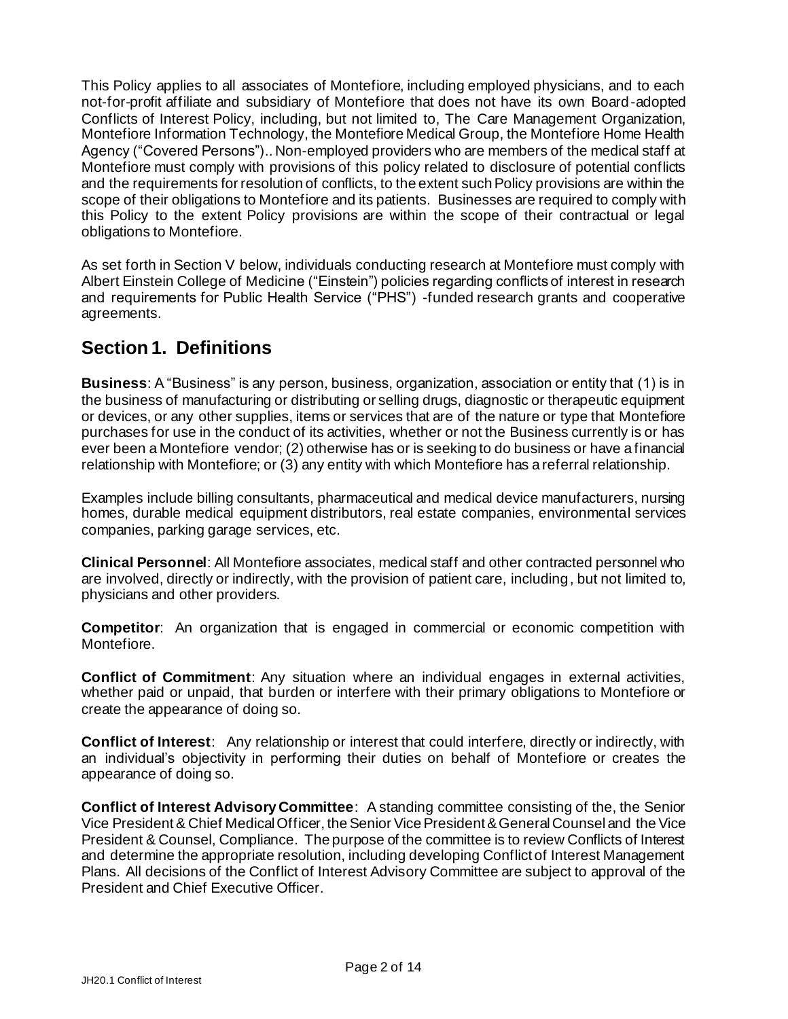This Policy applies to all associates of Montefiore, including employed physicians, and to each not-for-profit affiliate and subsidiary of Montefiore that does not have its own Board-adopted Conflicts of Interest Policy, including, but not limited to, The Care Management Organization, Montefiore Information Technology, the Montefiore Medical Group, the Montefiore Home Health Agency ("Covered Persons").. Non-employed providers who are members of the medical staff at Montefiore must comply with provisions of this policy related to disclosure of potential conflicts and the requirements for resolution of conflicts, to the extent such Policy provisions are within the scope of their obligations to Montefiore and its patients. Businesses are required to comply with this Policy to the extent Policy provisions are within the scope of their contractual or legal obligations to Montefiore.

As set forth in Section V below, individuals conducting research at Montefiore must comply with Albert Einstein College of Medicine ("Einstein") policies regarding conflicts of interest in research and requirements for Public Health Service ("PHS") -funded research grants and cooperative agreements.

# **Section 1. Definitions**

**Business**: A "Business" is any person, business, organization, association or entity that (1) is in the business of manufacturing or distributing or selling drugs, diagnostic or therapeutic equipment or devices, or any other supplies, items or services that are of the nature or type that Montefiore purchases for use in the conduct of its activities, whether or not the Business currently is or has ever been a Montefiore vendor; (2) otherwise has or is seeking to do business or have a financial relationship with Montefiore; or (3) any entity with which Montefiore has a referral relationship.

Examples include billing consultants, pharmaceutical and medical device manufacturers, nursing homes, durable medical equipment distributors, real estate companies, environmental services companies, parking garage services, etc.

**Clinical Personnel**: All Montefiore associates, medical staff and other contracted personnel who are involved, directly or indirectly, with the provision of patient care, including, but not limited to, physicians and other providers.

**Competitor**: An organization that is engaged in commercial or economic competition with Montefiore.

**Conflict of Commitment**: Any situation where an individual engages in external activities, whether paid or unpaid, that burden or interfere with their primary obligations to Montefiore or create the appearance of doing so.

**Conflict of Interest**: Any relationship or interest that could interfere, directly or indirectly, with an individual's objectivity in performing their duties on behalf of Montefiore or creates the appearance of doing so.

**Conflict of Interest Advisory Committee**: A standing committee consisting of the, the Senior Vice President & Chief Medical Officer, the Senior Vice President & General Counsel and the Vice President & Counsel, Compliance. The purpose of the committee is to review Conflicts of Interest and determine the appropriate resolution, including developing Conflict of Interest Management Plans. All decisions of the Conflict of Interest Advisory Committee are subject to approval of the President and Chief Executive Officer.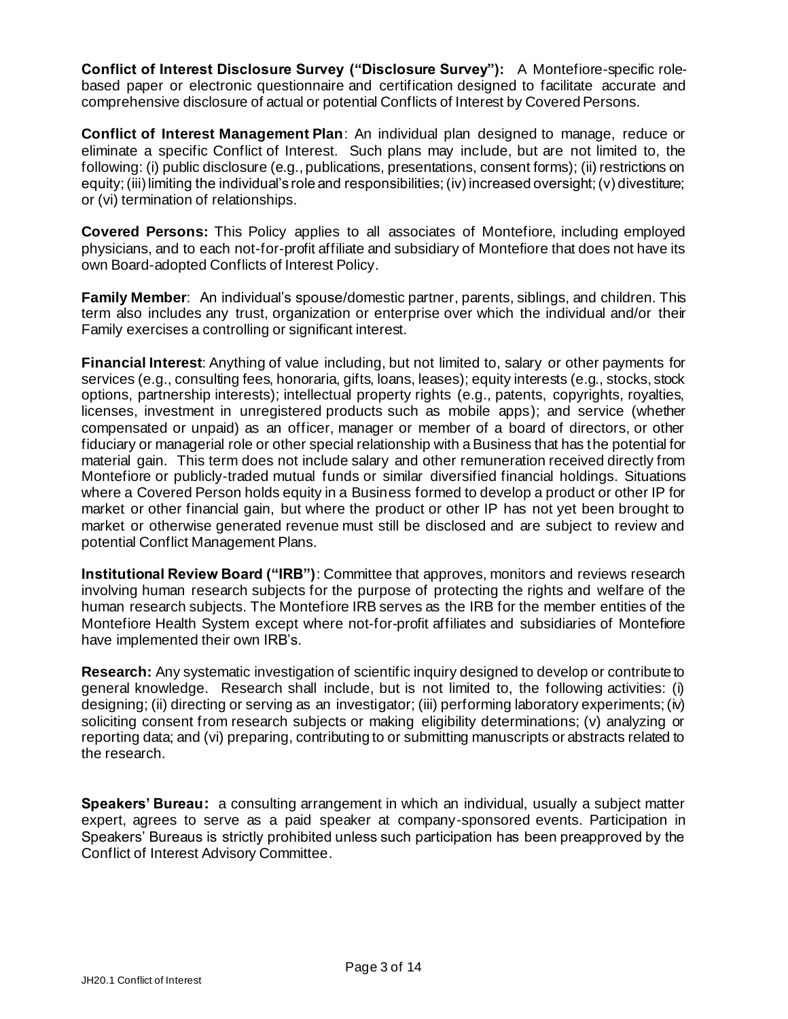**Conflict of Interest Disclosure Survey ("Disclosure Survey"):** A Montefiore-specific rolebased paper or electronic questionnaire and certification designed to facilitate accurate and comprehensive disclosure of actual or potential Conflicts of Interest by Covered Persons.

**Conflict of Interest Management Plan**: An individual plan designed to manage, reduce or eliminate a specific Conflict of Interest. Such plans may include, but are not limited to, the following: (i) public disclosure (e.g., publications, presentations, consent forms); (ii) restrictions on equity; (iii) limiting the individual's role and responsibilities; (iv) increased oversight; (v) divestiture; or (vi) termination of relationships.

**Covered Persons:** This Policy applies to all associates of Montefiore, including employed physicians, and to each not-for-profit affiliate and subsidiary of Montefiore that does not have its own Board-adopted Conflicts of Interest Policy.

**Family Member**: An individual's spouse/domestic partner, parents, siblings, and children. This term also includes any trust, organization or enterprise over which the individual and/or their Family exercises a controlling or significant interest.

**Financial Interest**: Anything of value including, but not limited to, salary or other payments for services (e.g., consulting fees, honoraria, gifts, loans, leases); equity interests (e.g., stocks, stock options, partnership interests); intellectual property rights (e.g., patents, copyrights, royalties, licenses, investment in unregistered products such as mobile apps); and service (whether compensated or unpaid) as an officer, manager or member of a board of directors, or other fiduciary or managerial role or other special relationship with a Business that has the potential for material gain. This term does not include salary and other remuneration received directly from Montefiore or publicly-traded mutual funds or similar diversified financial holdings. Situations where a Covered Person holds equity in a Business formed to develop a product or other IP for market or other financial gain, but where the product or other IP has not yet been brought to market or otherwise generated revenue must still be disclosed and are subject to review and potential Conflict Management Plans.

**Institutional Review Board ("IRB")**: Committee that approves, monitors and reviews research involving human research subjects for the purpose of protecting the rights and welfare of the human research subjects. The Montefiore IRB serves as the IRB for the member entities of the Montefiore Health System except where not-for-profit affiliates and subsidiaries of Montefiore have implemented their own IRB's.

**Research:** Any systematic investigation of scientific inquiry designed to develop or contribute to general knowledge. Research shall include, but is not limited to, the following activities: (i) designing; (ii) directing or serving as an investigator; (iii) performing laboratory experiments; (iv) soliciting consent from research subjects or making eligibility determinations; (v) analyzing or reporting data; and (vi) preparing, contributing to or submitting manuscripts or abstracts related to the research.

**Speakers' Bureau:** a consulting arrangement in which an individual, usually a subject matter expert, agrees to serve as a paid speaker at company-sponsored events. Participation in Speakers' Bureaus is strictly prohibited unless such participation has been preapproved by the Conflict of Interest Advisory Committee.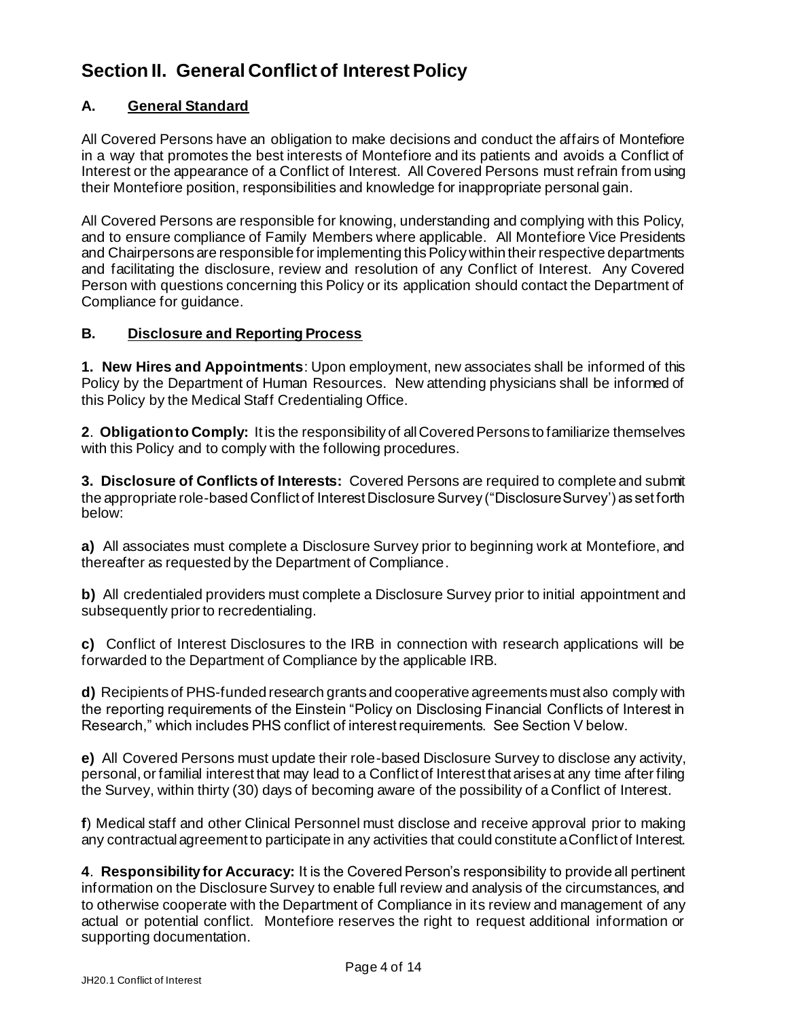# **Section II. General Conflict of Interest Policy**

## **A. General Standard**

All Covered Persons have an obligation to make decisions and conduct the affairs of Montefiore in a way that promotes the best interests of Montefiore and its patients and avoids a Conflict of Interest or the appearance of a Conflict of Interest. All Covered Persons must refrain from using their Montefiore position, responsibilities and knowledge for inappropriate personal gain.

All Covered Persons are responsible for knowing, understanding and complying with this Policy, and to ensure compliance of Family Members where applicable. All Montefiore Vice Presidents and Chairpersons are responsible for implementing this Policy within their respective departments and facilitating the disclosure, review and resolution of any Conflict of Interest. Any Covered Person with questions concerning this Policy or its application should contact the Department of Compliance for guidance.

#### **B. Disclosure and Reporting Process**

**1. New Hires and Appointments**: Upon employment, new associates shall be informed of this Policy by the Department of Human Resources. New attending physicians shall be informed of this Policy by the Medical Staff Credentialing Office.

**2**. **Obligation to Comply:** It is the responsibility of all Covered Persons to familiarize themselves with this Policy and to comply with the following procedures.

**3. Disclosure of Conflicts of Interests:** Covered Persons are required to complete and submit the appropriate role-based Conflict of Interest Disclosure Survey ("Disclosure Survey') as set forth below:

**a)** All associates must complete a Disclosure Survey prior to beginning work at Montefiore, and thereafter as requested by the Department of Compliance.

**b)** All credentialed providers must complete a Disclosure Survey prior to initial appointment and subsequently prior to recredentialing.

**c)** Conflict of Interest Disclosures to the IRB in connection with research applications will be forwarded to the Department of Compliance by the applicable IRB.

**d)** Recipients of PHS-funded research grants and cooperative agreements must also comply with the reporting requirements of the Einstein "Policy on Disclosing Financial Conflicts of Interest in Research," which includes PHS conflict of interest requirements. See Section V below.

**e)** All Covered Persons must update their role-based Disclosure Survey to disclose any activity, personal, or familial interest that may lead to a Conflict of Interest that arises at any time after filing the Survey, within thirty (30) days of becoming aware of the possibility of a Conflict of Interest.

**f**) Medical staff and other Clinical Personnel must disclose and receive approval prior to making any contractual agreement to participate in any activities that could constitute a Conflict of Interest.

**4**. **Responsibility for Accuracy:** It is the Covered Person's responsibility to provide all pertinent information on the Disclosure Survey to enable full review and analysis of the circumstances, and to otherwise cooperate with the Department of Compliance in its review and management of any actual or potential conflict. Montefiore reserves the right to request additional information or supporting documentation.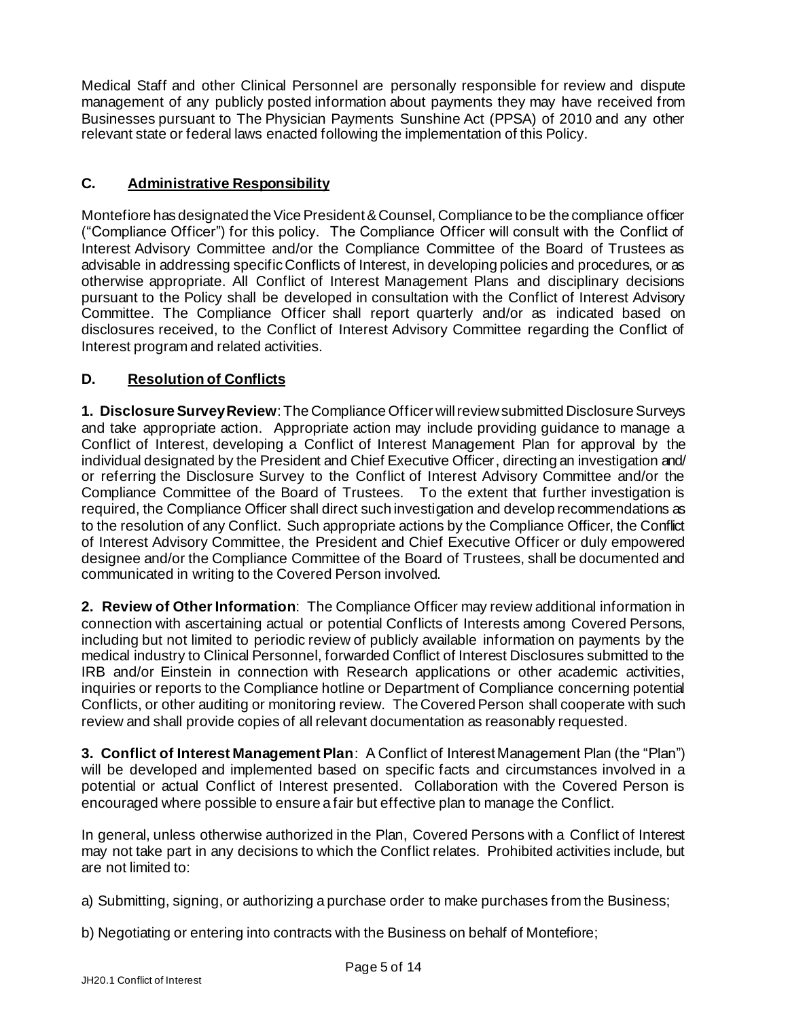Medical Staff and other Clinical Personnel are personally responsible for review and dispute management of any publicly posted information about payments they may have received from Businesses pursuant to The Physician Payments Sunshine Act (PPSA) of 2010 and any other relevant state or federal laws enacted following the implementation of this Policy.

#### **C. Administrative Responsibility**

Montefiore has designated the Vice President & Counsel, Compliance to be the compliance officer ("Compliance Officer") for this policy. The Compliance Officer will consult with the Conflict of Interest Advisory Committee and/or the Compliance Committee of the Board of Trustees as advisable in addressing specific Conflicts of Interest, in developing policies and procedures, or as otherwise appropriate. All Conflict of Interest Management Plans and disciplinary decisions pursuant to the Policy shall be developed in consultation with the Conflict of Interest Advisory Committee. The Compliance Officer shall report quarterly and/or as indicated based on disclosures received, to the Conflict of Interest Advisory Committee regarding the Conflict of Interest program and related activities.

#### **D. Resolution of Conflicts**

**1. Disclosure Survey Review**: The Compliance Officer will review submitted Disclosure Surveys and take appropriate action. Appropriate action may include providing guidance to manage a Conflict of Interest, developing a Conflict of Interest Management Plan for approval by the individual designated by the President and Chief Executive Officer, directing an investigation and/ or referring the Disclosure Survey to the Conflict of Interest Advisory Committee and/or the Compliance Committee of the Board of Trustees. To the extent that further investigation is required, the Compliance Officer shall direct such investigation and develop recommendations as to the resolution of any Conflict. Such appropriate actions by the Compliance Officer, the Conflict of Interest Advisory Committee, the President and Chief Executive Officer or duly empowered designee and/or the Compliance Committee of the Board of Trustees, shall be documented and communicated in writing to the Covered Person involved.

**2. Review of Other Information**: The Compliance Officer may review additional information in connection with ascertaining actual or potential Conflicts of Interests among Covered Persons, including but not limited to periodic review of publicly available information on payments by the medical industry to Clinical Personnel, forwarded Conflict of Interest Disclosures submitted to the IRB and/or Einstein in connection with Research applications or other academic activities, inquiries or reports to the Compliance hotline or Department of Compliance concerning potential Conflicts, or other auditing or monitoring review. The Covered Person shall cooperate with such review and shall provide copies of all relevant documentation as reasonably requested.

**3. Conflict of Interest Management Plan**: A Conflict of Interest Management Plan (the "Plan") will be developed and implemented based on specific facts and circumstances involved in a potential or actual Conflict of Interest presented. Collaboration with the Covered Person is encouraged where possible to ensure a fair but effective plan to manage the Conflict.

In general, unless otherwise authorized in the Plan, Covered Persons with a Conflict of Interest may not take part in any decisions to which the Conflict relates. Prohibited activities include, but are not limited to:

a) Submitting, signing, or authorizing a purchase order to make purchases from the Business;

b) Negotiating or entering into contracts with the Business on behalf of Montefiore;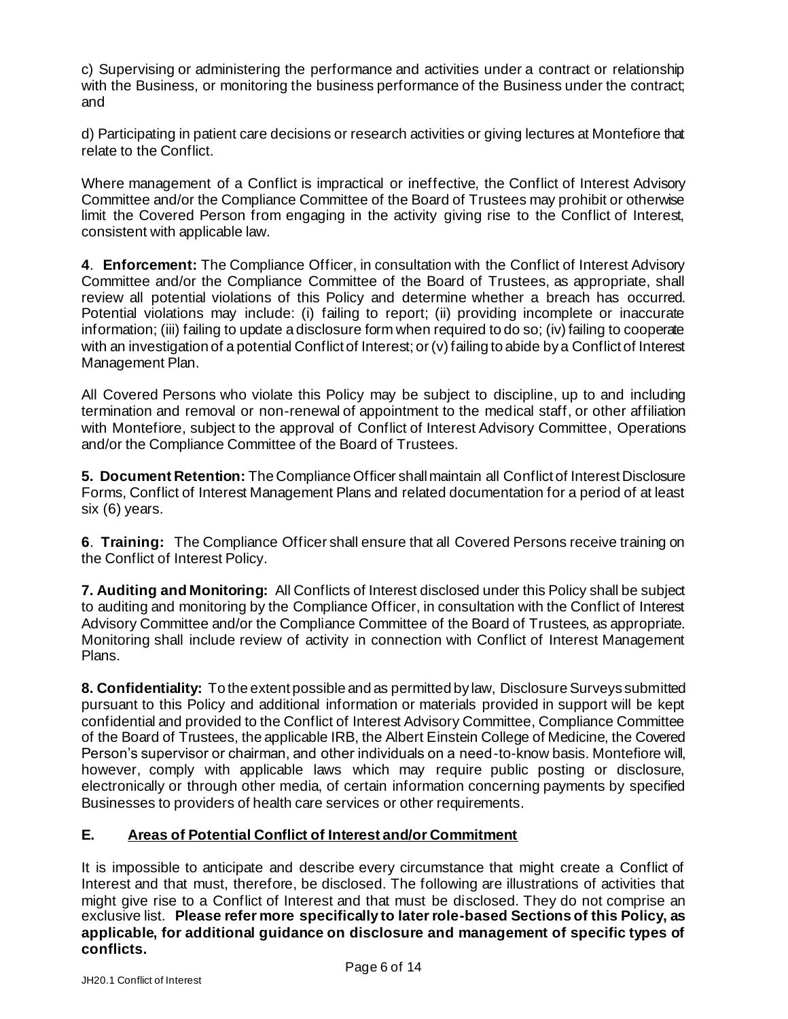c) Supervising or administering the performance and activities under a contract or relationship with the Business, or monitoring the business performance of the Business under the contract; and

d) Participating in patient care decisions or research activities or giving lectures at Montefiore that relate to the Conflict.

Where management of a Conflict is impractical or ineffective, the Conflict of Interest Advisory Committee and/or the Compliance Committee of the Board of Trustees may prohibit or otherwise limit the Covered Person from engaging in the activity giving rise to the Conflict of Interest, consistent with applicable law.

**4**. **Enforcement:** The Compliance Officer, in consultation with the Conflict of Interest Advisory Committee and/or the Compliance Committee of the Board of Trustees, as appropriate, shall review all potential violations of this Policy and determine whether a breach has occurred. Potential violations may include: (i) failing to report; (ii) providing incomplete or inaccurate information; (iii) failing to update a disclosure form when required to do so; (iv) failing to cooperate with an investigation of a potential Conflict of Interest; or (v) failing to abide by a Conflict of Interest Management Plan.

All Covered Persons who violate this Policy may be subject to discipline, up to and including termination and removal or non-renewal of appointment to the medical staff, or other affiliation with Montefiore, subject to the approval of Conflict of Interest Advisory Committee, Operations and/or the Compliance Committee of the Board of Trustees.

**5. Document Retention:** The Compliance Officer shall maintain all Conflict of Interest Disclosure Forms, Conflict of Interest Management Plans and related documentation for a period of at least six (6) years.

**6**. **Training:** The Compliance Officer shall ensure that all Covered Persons receive training on the Conflict of Interest Policy.

**7. Auditing and Monitoring:** All Conflicts of Interest disclosed under this Policy shall be subject to auditing and monitoring by the Compliance Officer, in consultation with the Conflict of Interest Advisory Committee and/or the Compliance Committee of the Board of Trustees, as appropriate. Monitoring shall include review of activity in connection with Conflict of Interest Management Plans.

**8. Confidentiality:** To the extent possible and as permitted by law, Disclosure Surveys submitted pursuant to this Policy and additional information or materials provided in support will be kept confidential and provided to the Conflict of Interest Advisory Committee, Compliance Committee of the Board of Trustees, the applicable IRB, the Albert Einstein College of Medicine, the Covered Person's supervisor or chairman, and other individuals on a need-to-know basis. Montefiore will, however, comply with applicable laws which may require public posting or disclosure, electronically or through other media, of certain information concerning payments by specified Businesses to providers of health care services or other requirements.

#### **E. Areas of Potential Conflict of Interest and/or Commitment**

It is impossible to anticipate and describe every circumstance that might create a Conflict of Interest and that must, therefore, be disclosed. The following are illustrations of activities that might give rise to a Conflict of Interest and that must be disclosed. They do not comprise an exclusive list. **Please refer more specifically to later role-based Sections of this Policy, as applicable, for additional guidance on disclosure and management of specific types of conflicts.**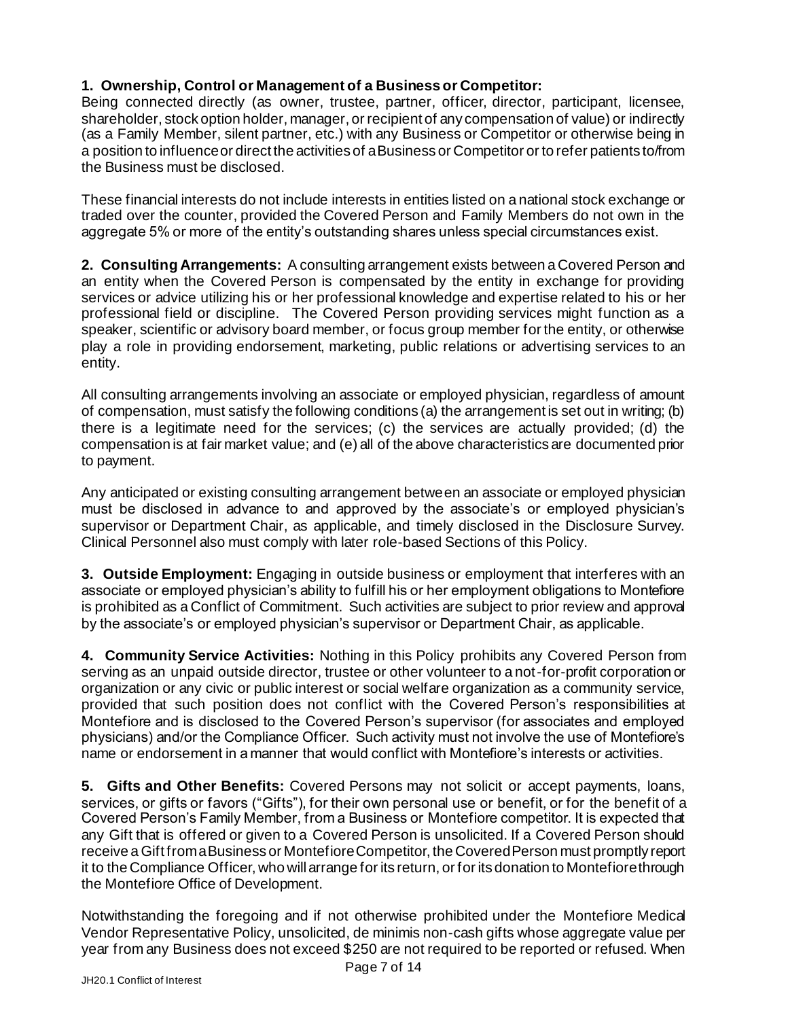## **1. Ownership, Control or Management of a Business or Competitor:**

Being connected directly (as owner, trustee, partner, officer, director, participant, licensee, shareholder, stock option holder, manager, or recipient of any compensation of value) or indirectly (as a Family Member, silent partner, etc.) with any Business or Competitor or otherwise being in a position to influence or direct the activities of a Business or Competitor or to refer patients to/from the Business must be disclosed.

These financial interests do not include interests in entities listed on a national stock exchange or traded over the counter, provided the Covered Person and Family Members do not own in the aggregate 5% or more of the entity's outstanding shares unless special circumstances exist.

**2. Consulting Arrangements:** A consulting arrangement exists between a Covered Person and an entity when the Covered Person is compensated by the entity in exchange for providing services or advice utilizing his or her professional knowledge and expertise related to his or her professional field or discipline. The Covered Person providing services might function as a speaker, scientific or advisory board member, or focus group member for the entity, or otherwise play a role in providing endorsement, marketing, public relations or advertising services to an entity.

All consulting arrangements involving an associate or employed physician, regardless of amount of compensation, must satisfy the following conditions (a) the arrangement is set out in writing; (b) there is a legitimate need for the services; (c) the services are actually provided; (d) the compensation is at fair market value; and (e) all of the above characteristics are documented prior to payment.

Any anticipated or existing consulting arrangement between an associate or employed physician must be disclosed in advance to and approved by the associate's or employed physician's supervisor or Department Chair, as applicable, and timely disclosed in the Disclosure Survey. Clinical Personnel also must comply with later role-based Sections of this Policy.

**3. Outside Employment:** Engaging in outside business or employment that interferes with an associate or employed physician's ability to fulfill his or her employment obligations to Montefiore is prohibited as a Conflict of Commitment. Such activities are subject to prior review and approval by the associate's or employed physician's supervisor or Department Chair, as applicable.

**4. Community Service Activities:** Nothing in this Policy prohibits any Covered Person from serving as an unpaid outside director, trustee or other volunteer to a not-for-profit corporation or organization or any civic or public interest or social welfare organization as a community service, provided that such position does not conflict with the Covered Person's responsibilities at Montefiore and is disclosed to the Covered Person's supervisor (for associates and employed physicians) and/or the Compliance Officer. Such activity must not involve the use of Montefiore's name or endorsement in a manner that would conflict with Montefiore's interests or activities.

**5. Gifts and Other Benefits:** Covered Persons may not solicit or accept payments, loans, services, or gifts or favors ("Gifts"), for their own personal use or benefit, or for the benefit of a Covered Person's Family Member, from a Business or Montefiore competitor. It is expected that any Gift that is offered or given to a Covered Person is unsolicited. If a Covered Person should receive a Gift from a Business or Montefiore Competitor, the Covered Person must promptly report it to the Compliance Officer, who will arrange for its return, or for its donation to Montefiore through the Montefiore Office of Development.

Notwithstanding the foregoing and if not otherwise prohibited under the Montefiore Medical Vendor Representative Policy, unsolicited, de minimis non-cash gifts whose aggregate value per year from any Business does not exceed \$250 are not required to be reported or refused. When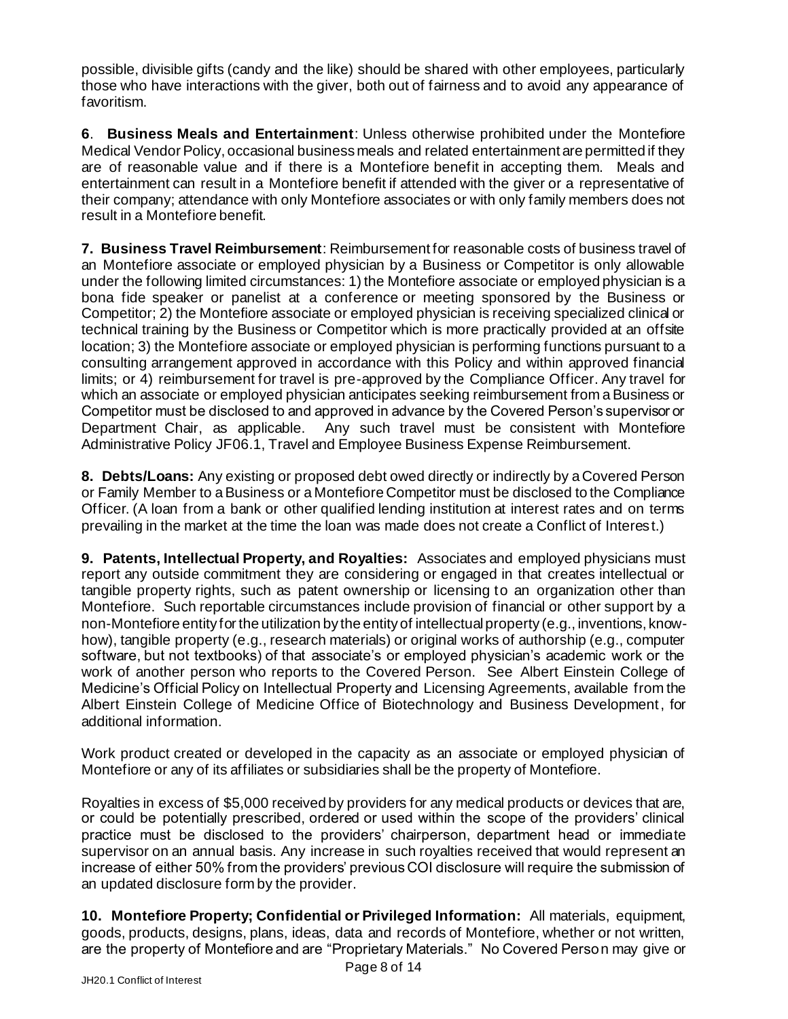possible, divisible gifts (candy and the like) should be shared with other employees, particularly those who have interactions with the giver, both out of fairness and to avoid any appearance of favoritism.

**6**. **Business Meals and Entertainment**: Unless otherwise prohibited under the Montefiore Medical Vendor Policy, occasional business meals and related entertainment are permitted if they are of reasonable value and if there is a Montefiore benefit in accepting them. Meals and entertainment can result in a Montefiore benefit if attended with the giver or a representative of their company; attendance with only Montefiore associates or with only family members does not result in a Montefiore benefit.

**7. Business Travel Reimbursement**: Reimbursement for reasonable costs of business travel of an Montefiore associate or employed physician by a Business or Competitor is only allowable under the following limited circumstances: 1) the Montefiore associate or employed physician is a bona fide speaker or panelist at a conference or meeting sponsored by the Business or Competitor; 2) the Montefiore associate or employed physician is receiving specialized clinical or technical training by the Business or Competitor which is more practically provided at an offsite location; 3) the Montefiore associate or employed physician is performing functions pursuant to a consulting arrangement approved in accordance with this Policy and within approved financial limits; or 4) reimbursement for travel is pre-approved by the Compliance Officer. Any travel for which an associate or employed physician anticipates seeking reimbursement from a Business or Competitor must be disclosed to and approved in advance by the Covered Person's supervisor or Department Chair, as applicable. Any such travel must be consistent with Montefiore Administrative Policy JF06.1, Travel and Employee Business Expense Reimbursement.

**8. Debts/Loans:** Any existing or proposed debt owed directly or indirectly by a Covered Person or Family Member to a Business or a Montefiore Competitor must be disclosed to the Compliance Officer. (A loan from a bank or other qualified lending institution at interest rates and on terms prevailing in the market at the time the loan was made does not create a Conflict of Interest.)

**9. Patents, Intellectual Property, and Royalties:** Associates and employed physicians must report any outside commitment they are considering or engaged in that creates intellectual or tangible property rights, such as patent ownership or licensing to an organization other than Montefiore. Such reportable circumstances include provision of financial or other support by a non-Montefiore entity for the utilization by the entity of intellectual property (e.g., inventions, knowhow), tangible property (e.g., research materials) or original works of authorship (e.g., computer software, but not textbooks) of that associate's or employed physician's academic work or the work of another person who reports to the Covered Person. See Albert Einstein College of Medicine's Official Policy on Intellectual Property and Licensing Agreements, available from the Albert Einstein College of Medicine Office of Biotechnology and Business Development, for additional information.

Work product created or developed in the capacity as an associate or employed physician of Montefiore or any of its affiliates or subsidiaries shall be the property of Montefiore.

Royalties in excess of \$5,000 received by providers for any medical products or devices that are, or could be potentially prescribed, ordered or used within the scope of the providers' clinical practice must be disclosed to the providers' chairperson, department head or immediate supervisor on an annual basis. Any increase in such royalties received that would represent an increase of either 50% from the providers' previous COI disclosure will require the submission of an updated disclosure form by the provider.

**10. Montefiore Property; Confidential or Privileged Information:** All materials, equipment, goods, products, designs, plans, ideas, data and records of Montefiore, whether or not written, are the property of Montefiore and are "Proprietary Materials." No Covered Person may give or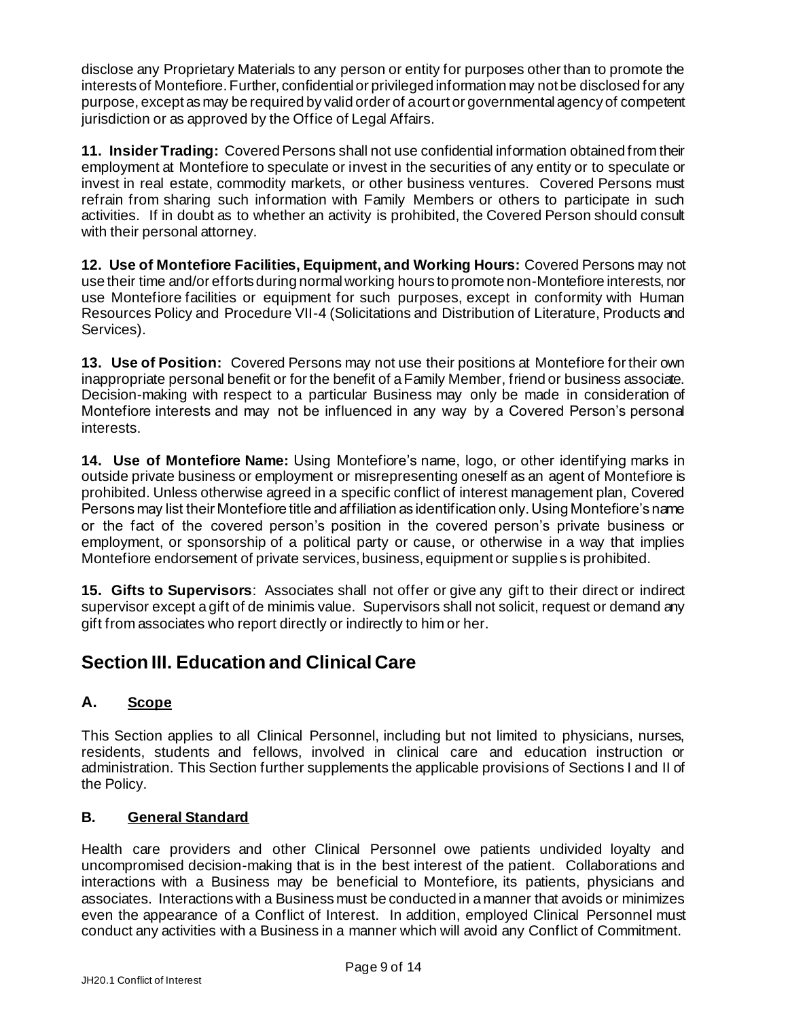disclose any Proprietary Materials to any person or entity for purposes other than to promote the interests of Montefiore. Further, confidential or privileged information may not be disclosed for any purpose, except as may be required by valid order of a court or governmental agency of competent jurisdiction or as approved by the Office of Legal Affairs.

**11. Insider Trading:** Covered Persons shall not use confidential information obtained from their employment at Montefiore to speculate or invest in the securities of any entity or to speculate or invest in real estate, commodity markets, or other business ventures. Covered Persons must refrain from sharing such information with Family Members or others to participate in such activities. If in doubt as to whether an activity is prohibited, the Covered Person should consult with their personal attorney.

**12. Use of Montefiore Facilities, Equipment, and Working Hours:** Covered Persons may not use their time and/or efforts during normal working hours to promote non-Montefiore interests, nor use Montefiore facilities or equipment for such purposes, except in conformity with Human Resources Policy and Procedure VII-4 (Solicitations and Distribution of Literature, Products and Services).

**13. Use of Position:** Covered Persons may not use their positions at Montefiore for their own inappropriate personal benefit or for the benefit of a Family Member, friend or business associate. Decision-making with respect to a particular Business may only be made in consideration of Montefiore interests and may not be influenced in any way by a Covered Person's personal interests.

**14. Use of Montefiore Name:** Using Montefiore's name, logo, or other identifying marks in outside private business or employment or misrepresenting oneself as an agent of Montefiore is prohibited. Unless otherwise agreed in a specific conflict of interest management plan, Covered Persons may list their Montefiore title and affiliation as identification only. Using Montefiore's name or the fact of the covered person's position in the covered person's private business or employment, or sponsorship of a political party or cause, or otherwise in a way that implies Montefiore endorsement of private services, business, equipment or supplies is prohibited.

**15. Gifts to Supervisors**: Associates shall not offer or give any gift to their direct or indirect supervisor except a gift of de minimis value. Supervisors shall not solicit, request or demand any gift from associates who report directly or indirectly to him or her.

# **Section III. Education and Clinical Care**

## **A. Scope**

This Section applies to all Clinical Personnel, including but not limited to physicians, nurses, residents, students and fellows, involved in clinical care and education instruction or administration. This Section further supplements the applicable provisions of Sections I and II of the Policy.

#### **B. General Standard**

Health care providers and other Clinical Personnel owe patients undivided loyalty and uncompromised decision-making that is in the best interest of the patient. Collaborations and interactions with a Business may be beneficial to Montefiore, its patients, physicians and associates. Interactions with a Business must be conducted in a manner that avoids or minimizes even the appearance of a Conflict of Interest. In addition, employed Clinical Personnel must conduct any activities with a Business in a manner which will avoid any Conflict of Commitment.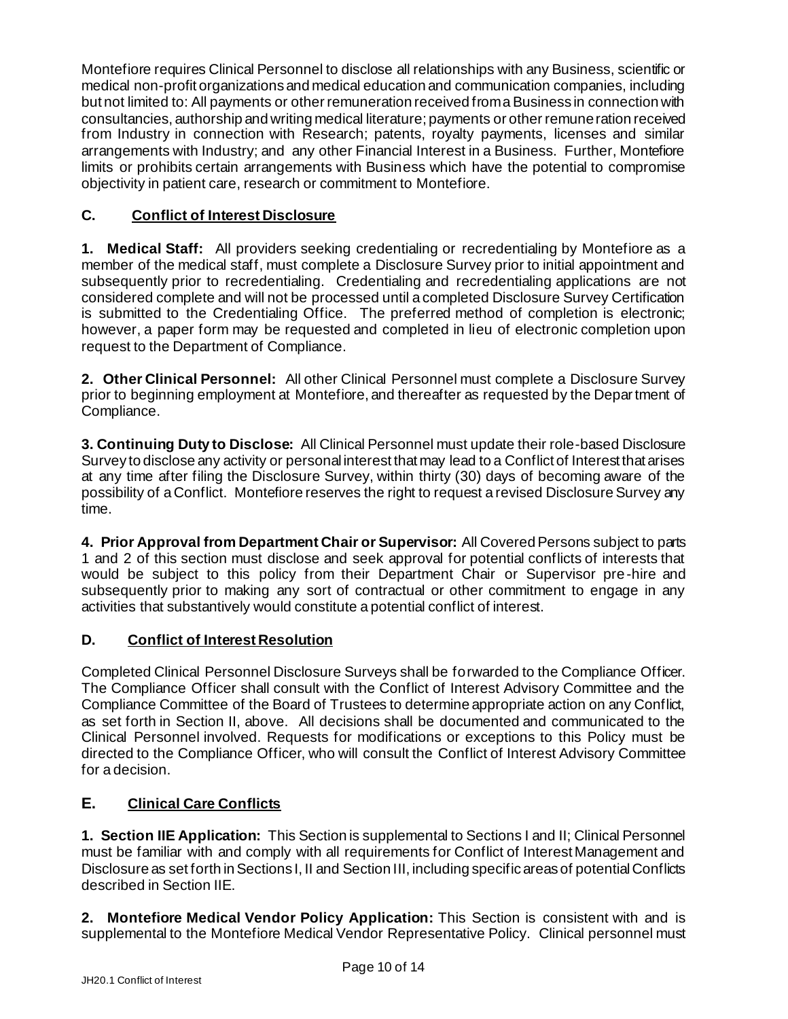Montefiore requires Clinical Personnel to disclose all relationships with any Business, scientific or medical non-profit organizations and medical education and communication companies, including but not limited to: All payments or other remuneration received from a Business in connection with consultancies, authorship and writing medical literature; payments or other remuneration received from Industry in connection with Research; patents, royalty payments, licenses and similar arrangements with Industry; and any other Financial Interest in a Business. Further, Montefiore limits or prohibits certain arrangements with Business which have the potential to compromise objectivity in patient care, research or commitment to Montefiore.

## **C. Conflict of Interest Disclosure**

**1. Medical Staff:** All providers seeking credentialing or recredentialing by Montefiore as a member of the medical staff, must complete a Disclosure Survey prior to initial appointment and subsequently prior to recredentialing. Credentialing and recredentialing applications are not considered complete and will not be processed until a completed Disclosure Survey Certification is submitted to the Credentialing Office. The preferred method of completion is electronic; however, a paper form may be requested and completed in lieu of electronic completion upon request to the Department of Compliance.

**2. Other Clinical Personnel:** All other Clinical Personnel must complete a Disclosure Survey prior to beginning employment at Montefiore, and thereafter as requested by the Department of Compliance.

**3. Continuing Duty to Disclose:** All Clinical Personnel must update their role-based Disclosure Survey to disclose any activity or personal interest that may lead to a Conflict of Interest that arises at any time after filing the Disclosure Survey, within thirty (30) days of becoming aware of the possibility of a Conflict. Montefiore reserves the right to request a revised Disclosure Survey any time.

**4. Prior Approval from Department Chair or Supervisor:** All Covered Persons subject to parts 1 and 2 of this section must disclose and seek approval for potential conflicts of interests that would be subject to this policy from their Department Chair or Supervisor pre-hire and subsequently prior to making any sort of contractual or other commitment to engage in any activities that substantively would constitute a potential conflict of interest.

## **D. Conflict of Interest Resolution**

Completed Clinical Personnel Disclosure Surveys shall be forwarded to the Compliance Officer. The Compliance Officer shall consult with the Conflict of Interest Advisory Committee and the Compliance Committee of the Board of Trustees to determine appropriate action on any Conflict, as set forth in Section II, above. All decisions shall be documented and communicated to the Clinical Personnel involved. Requests for modifications or exceptions to this Policy must be directed to the Compliance Officer, who will consult the Conflict of Interest Advisory Committee for a decision.

## **E. Clinical Care Conflicts**

**1. Section IIE Application:** This Section is supplemental to Sections I and II; Clinical Personnel must be familiar with and comply with all requirements for Conflict of Interest Management and Disclosure as set forth in Sections I, II and Section III, including specific areas of potential Conflicts described in Section IIE.

**2. Montefiore Medical Vendor Policy Application:** This Section is consistent with and is supplemental to the Montefiore Medical Vendor Representative Policy. Clinical personnel must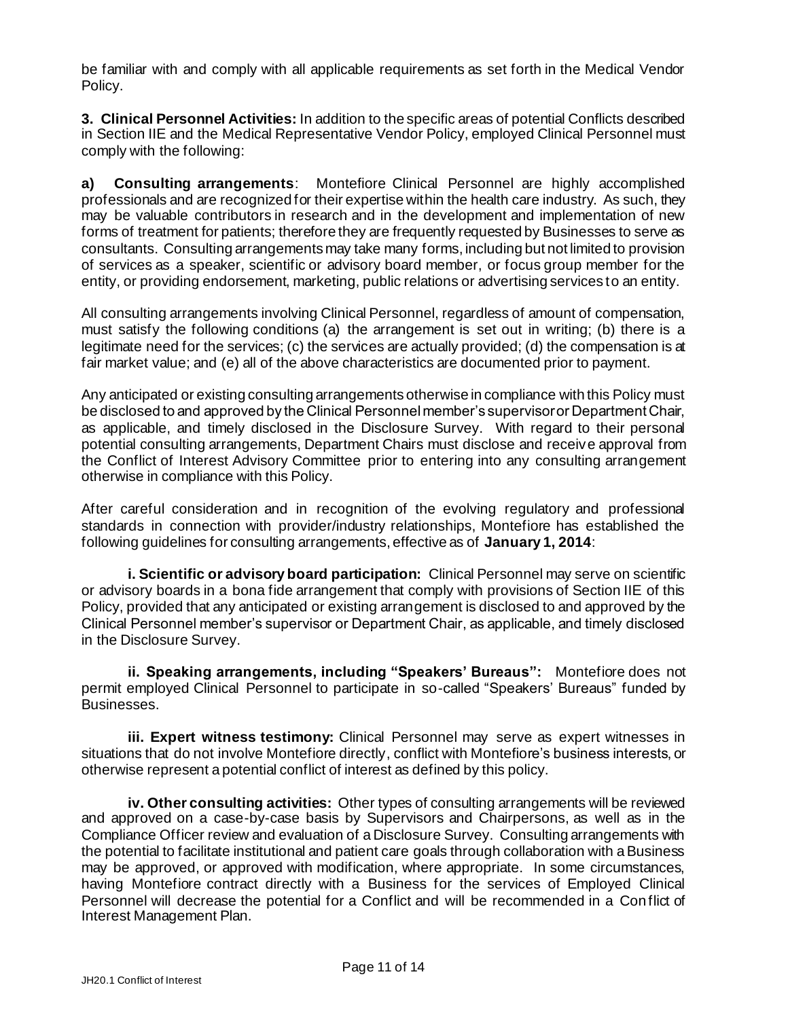be familiar with and comply with all applicable requirements as set forth in the Medical Vendor Policy.

**3. Clinical Personnel Activities:** In addition to the specific areas of potential Conflicts described in Section IIE and the Medical Representative Vendor Policy, employed Clinical Personnel must comply with the following:

**a) Consulting arrangements**: Montefiore Clinical Personnel are highly accomplished professionals and are recognized for their expertise within the health care industry. As such, they may be valuable contributors in research and in the development and implementation of new forms of treatment for patients; therefore they are frequently requested by Businesses to serve as consultants. Consulting arrangements may take many forms, including but not limited to provision of services as a speaker, scientific or advisory board member, or focus group member for the entity, or providing endorsement, marketing, public relations or advertising services to an entity.

All consulting arrangements involving Clinical Personnel, regardless of amount of compensation, must satisfy the following conditions (a) the arrangement is set out in writing; (b) there is a legitimate need for the services; (c) the services are actually provided; (d) the compensation is at fair market value; and (e) all of the above characteristics are documented prior to payment.

Any anticipated or existing consulting arrangements otherwise in compliance with this Policy must be disclosed to and approved by the Clinical Personnel member's supervisor or Department Chair, as applicable, and timely disclosed in the Disclosure Survey. With regard to their personal potential consulting arrangements, Department Chairs must disclose and receive approval from the Conflict of Interest Advisory Committee prior to entering into any consulting arrangement otherwise in compliance with this Policy.

After careful consideration and in recognition of the evolving regulatory and professional standards in connection with provider/industry relationships, Montefiore has established the following guidelines for consulting arrangements, effective as of **January 1, 2014**:

**i. Scientific or advisory board participation:** Clinical Personnel may serve on scientific or advisory boards in a bona fide arrangement that comply with provisions of Section IIE of this Policy, provided that any anticipated or existing arrangement is disclosed to and approved by the Clinical Personnel member's supervisor or Department Chair, as applicable, and timely disclosed in the Disclosure Survey.

**ii. Speaking arrangements, including "Speakers' Bureaus":** Montefiore does not permit employed Clinical Personnel to participate in so-called "Speakers' Bureaus" funded by Businesses.

**iii. Expert witness testimony:** Clinical Personnel may serve as expert witnesses in situations that do not involve Montefiore directly, conflict with Montefiore's business interests, or otherwise represent a potential conflict of interest as defined by this policy.

**iv. Other consulting activities:** Other types of consulting arrangements will be reviewed and approved on a case-by-case basis by Supervisors and Chairpersons, as well as in the Compliance Officer review and evaluation of a Disclosure Survey. Consulting arrangements with the potential to facilitate institutional and patient care goals through collaboration with a Business may be approved, or approved with modification, where appropriate. In some circumstances, having Montefiore contract directly with a Business for the services of Employed Clinical Personnel will decrease the potential for a Conflict and will be recommended in a Conflict of Interest Management Plan.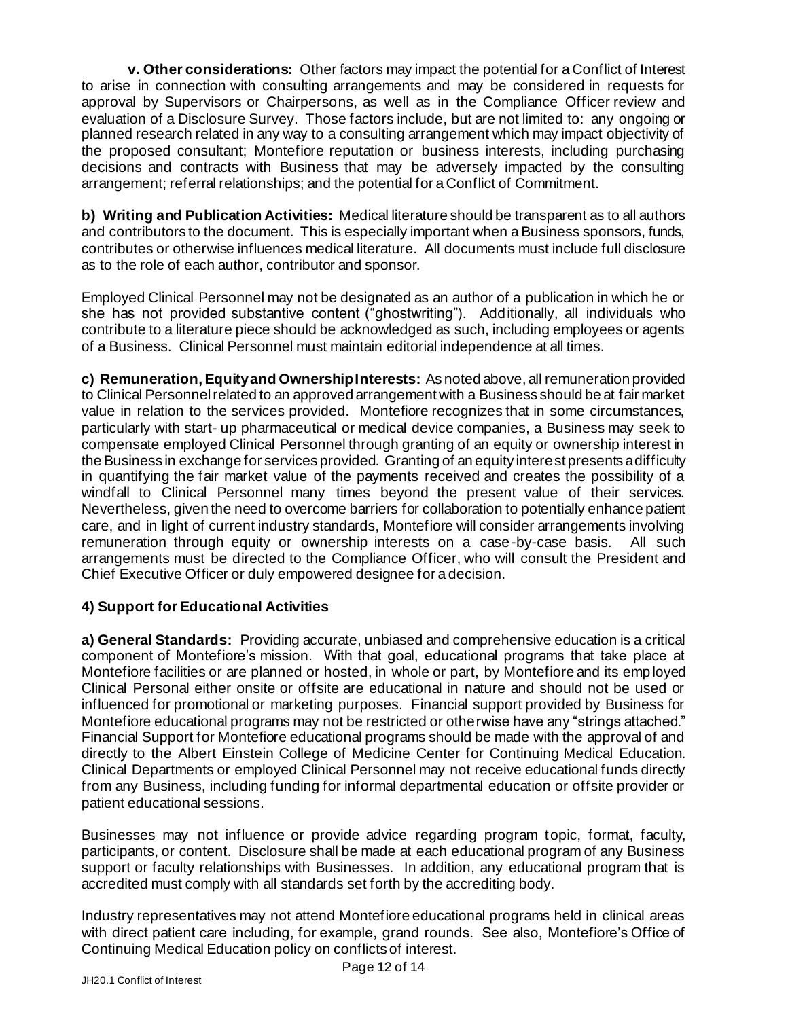**v. Other considerations:** Other factors may impact the potential for a Conflict of Interest to arise in connection with consulting arrangements and may be considered in requests for approval by Supervisors or Chairpersons, as well as in the Compliance Officer review and evaluation of a Disclosure Survey. Those factors include, but are not limited to: any ongoing or planned research related in any way to a consulting arrangement which may impact objectivity of the proposed consultant; Montefiore reputation or business interests, including purchasing decisions and contracts with Business that may be adversely impacted by the consulting arrangement; referral relationships; and the potential for a Conflict of Commitment.

**b) Writing and Publication Activities:** Medical literature should be transparent as to all authors and contributors to the document. This is especially important when a Business sponsors, funds, contributes or otherwise influences medical literature. All documents must include full disclosure as to the role of each author, contributor and sponsor.

Employed Clinical Personnel may not be designated as an author of a publication in which he or she has not provided substantive content ("ghostwriting"). Additionally, all individuals who contribute to a literature piece should be acknowledged as such, including employees or agents of a Business. Clinical Personnel must maintain editorial independence at all times.

**c) Remuneration, Equity and Ownership Interests:** As noted above, all remuneration provided to Clinical Personnel related to an approved arrangement with a Business should be at fair market value in relation to the services provided. Montefiore recognizes that in some circumstances, particularly with start- up pharmaceutical or medical device companies, a Business may seek to compensate employed Clinical Personnel through granting of an equity or ownership interest in the Business in exchange for services provided. Granting of an equity interest presents a difficulty in quantifying the fair market value of the payments received and creates the possibility of a windfall to Clinical Personnel many times beyond the present value of their services. Nevertheless, given the need to overcome barriers for collaboration to potentially enhance patient care, and in light of current industry standards, Montefiore will consider arrangements involving remuneration through equity or ownership interests on a case-by-case basis. All such arrangements must be directed to the Compliance Officer, who will consult the President and Chief Executive Officer or duly empowered designee for a decision.

#### **4) Support for Educational Activities**

**a) General Standards:** Providing accurate, unbiased and comprehensive education is a critical component of Montefiore's mission. With that goal, educational programs that take place at Montefiore facilities or are planned or hosted, in whole or part, by Montefiore and its employed Clinical Personal either onsite or offsite are educational in nature and should not be used or influenced for promotional or marketing purposes. Financial support provided by Business for Montefiore educational programs may not be restricted or otherwise have any "strings attached." Financial Support for Montefiore educational programs should be made with the approval of and directly to the Albert Einstein College of Medicine Center for Continuing Medical Education. Clinical Departments or employed Clinical Personnel may not receive educational funds directly from any Business, including funding for informal departmental education or offsite provider or patient educational sessions.

Businesses may not influence or provide advice regarding program topic, format, faculty, participants, or content. Disclosure shall be made at each educational program of any Business support or faculty relationships with Businesses. In addition, any educational program that is accredited must comply with all standards set forth by the accrediting body.

Industry representatives may not attend Montefiore educational programs held in clinical areas with direct patient care including, for example, grand rounds. See also, Montefiore's Office of Continuing Medical Education policy on conflicts of interest.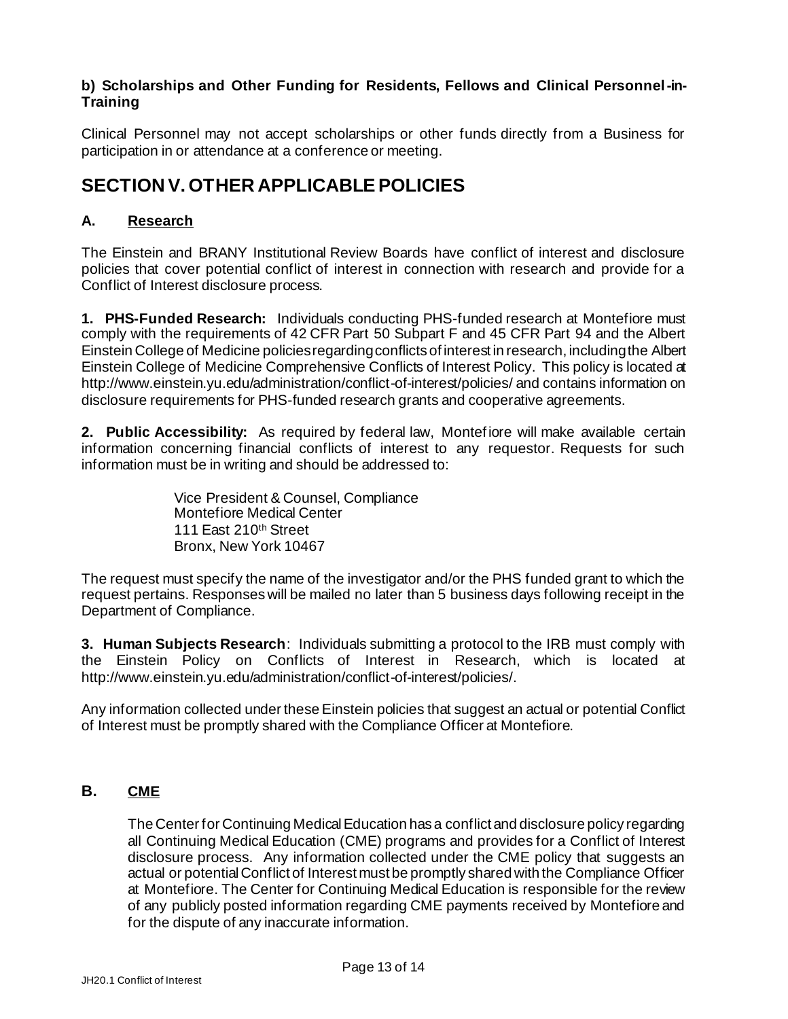#### **b) Scholarships and Other Funding for Residents, Fellows and Clinical Personnel-in-Training**

Clinical Personnel may not accept scholarships or other funds directly from a Business for participation in or attendance at a conference or meeting.

# **SECTION V. OTHER APPLICABLE POLICIES**

## **A. Research**

The Einstein and BRANY Institutional Review Boards have conflict of interest and disclosure policies that cover potential conflict of interest in connection with research and provide for a Conflict of Interest disclosure process.

**1. PHS-Funded Research:** Individuals conducting PHS-funded research at Montefiore must comply with the requirements of 42 CFR Part 50 Subpart F and 45 CFR Part 94 and the Albert Einstein College of Medicine policies regarding conflicts of interest in research, including the Albert Einstein College of Medicine Comprehensive Conflicts of Interest Policy. This policy is located at http://www.einstein.yu.edu/administration/conflict-of-interest/policies/ and contains information on disclosure requirements for PHS-funded research grants and cooperative agreements.

**2. Public Accessibility:** As required by federal law, Montefiore will make available certain information concerning financial conflicts of interest to any requestor. Requests for such information must be in writing and should be addressed to:

> Vice President & Counsel, Compliance Montefiore Medical Center 111 East 210th Street Bronx, New York 10467

The request must specify the name of the investigator and/or the PHS funded grant to which the request pertains. Responses will be mailed no later than 5 business days following receipt in the Department of Compliance.

**3. Human Subjects Research**:Individuals submitting a protocol to the IRB must comply with the Einstein Policy on Conflicts of Interest in Research, which is located at http://www.einstein.yu.edu/administration/conflict-of-interest/policies/.

Any information collected under these Einstein policies that suggest an actual or potential Conflict of Interest must be promptly shared with the Compliance Officer at Montefiore.

# **B. CME**

The Center for Continuing Medical Education has a conflict and disclosure policy regarding all Continuing Medical Education (CME) programs and provides for a Conflict of Interest disclosure process. Any information collected under the CME policy that suggests an actual or potential Conflict of Interest must be promptly shared with the Compliance Officer at Montefiore. The Center for Continuing Medical Education is responsible for the review of any publicly posted information regarding CME payments received by Montefiore and for the dispute of any inaccurate information.